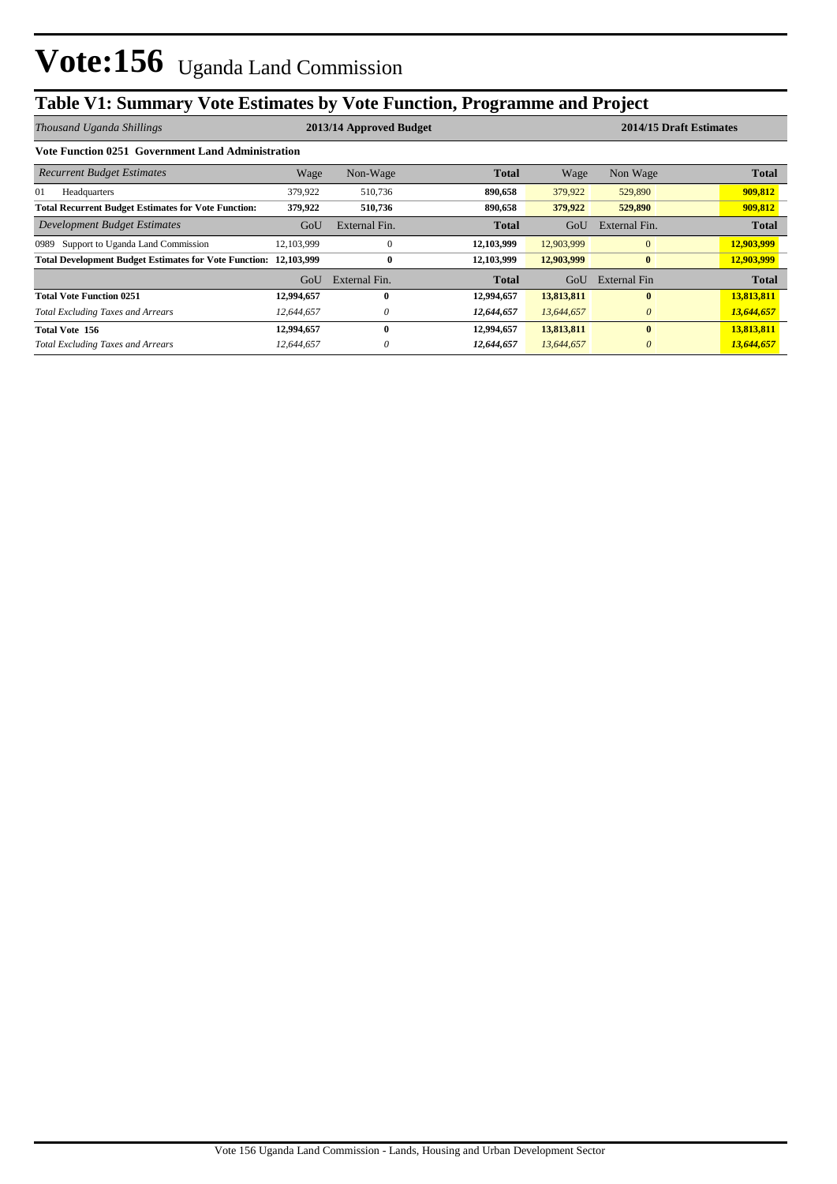# **Table V1: Summary Vote Estimates by Vote Function, Programme and Project**

| Thousand Uganda Shillings                                               | 2013/14 Approved Budget |               |              |            | 2014/15 Draft Estimates |              |  |
|-------------------------------------------------------------------------|-------------------------|---------------|--------------|------------|-------------------------|--------------|--|
| Vote Function 0251 Government Land Administration                       |                         |               |              |            |                         |              |  |
| <b>Recurrent Budget Estimates</b>                                       | Wage                    | Non-Wage      | <b>Total</b> | Wage       | Non Wage                | <b>Total</b> |  |
| 01<br>Headquarters                                                      | 379,922                 | 510,736       | 890,658      | 379,922    | 529,890                 | 909,812      |  |
| <b>Total Recurrent Budget Estimates for Vote Function:</b>              | 379,922                 | 510,736       | 890,658      | 379,922    | 529,890                 | 909,812      |  |
| Development Budget Estimates                                            | GoU                     | External Fin. | <b>Total</b> | GoU        | External Fin.           | <b>Total</b> |  |
| Support to Uganda Land Commission<br>0989                               | 12, 103, 999            | $\Omega$      | 12,103,999   | 12,903,999 | $\Omega$                | 12,903,999   |  |
| <b>Total Development Budget Estimates for Vote Function: 12,103,999</b> |                         | 0             | 12,103,999   | 12,903,999 | $\bf{0}$                | 12,903,999   |  |
|                                                                         | GoU                     | External Fin. | Total        | GoU        | External Fin            | <b>Total</b> |  |
| <b>Total Vote Function 0251</b>                                         | 12,994,657              | 0             | 12,994,657   | 13,813,811 | $\mathbf{0}$            | 13,813,811   |  |
| <b>Total Excluding Taxes and Arrears</b>                                | 12,644,657              | 0             | 12,644,657   | 13,644,657 | $\theta$                | 13,644,657   |  |
| Total Vote 156                                                          | 12,994,657              | 0             | 12,994,657   | 13,813,811 | $\mathbf{0}$            | 13,813,811   |  |
| <b>Total Excluding Taxes and Arrears</b>                                | 12,644,657              | 0             | 12,644,657   | 13,644,657 | $\theta$                | 13,644,657   |  |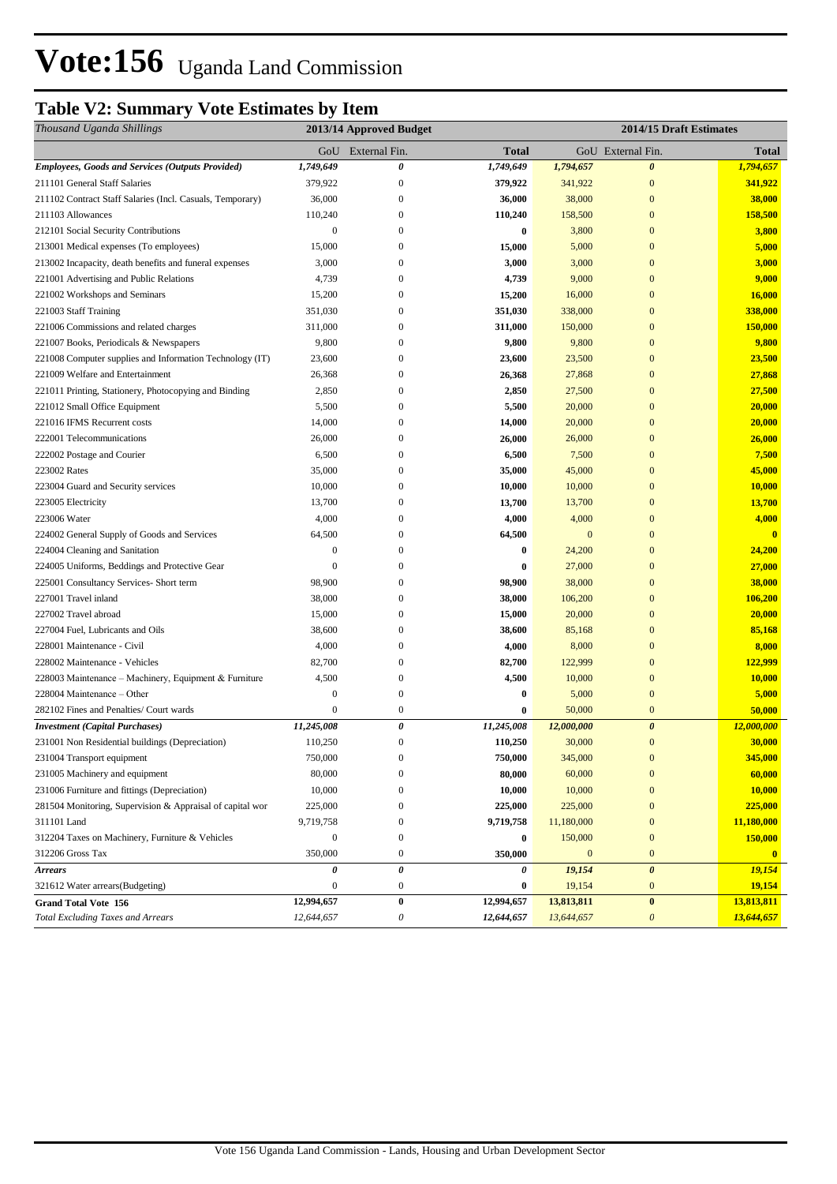# **Vote:156** Uganda Land Commission

# **Table V2: Summary Vote Estimates by Item**

| Thousand Uganda Shillings                                 | 2013/14 Approved Budget |                       |                  | 2014/15 Draft Estimates |                           |              |
|-----------------------------------------------------------|-------------------------|-----------------------|------------------|-------------------------|---------------------------|--------------|
|                                                           |                         | GoU External Fin.     | <b>Total</b>     |                         | GoU External Fin.         | <b>Total</b> |
| <b>Employees, Goods and Services (Outputs Provided)</b>   | 1,749,649               | 0                     | 1,749,649        | 1,794,657               | $\boldsymbol{\theta}$     | 1,794,657    |
| 211101 General Staff Salaries                             | 379,922                 | $\boldsymbol{0}$      | 379,922          | 341,922                 | $\mathbf{0}$              | 341,922      |
| 211102 Contract Staff Salaries (Incl. Casuals, Temporary) | 36,000                  | $\boldsymbol{0}$      | 36,000           | 38,000                  | $\mathbf{0}$              | 38,000       |
| 211103 Allowances                                         | 110,240                 | $\boldsymbol{0}$      | 110,240          | 158,500                 | $\mathbf{0}$              | 158,500      |
| 212101 Social Security Contributions                      | $\mathbf{0}$            | $\mathbf{0}$          | $\bf{0}$         | 3,800                   | $\mathbf{0}$              | 3,800        |
| 213001 Medical expenses (To employees)                    | 15,000                  | $\mathbf{0}$          | 15,000           | 5,000                   | $\mathbf{0}$              | 5,000        |
| 213002 Incapacity, death benefits and funeral expenses    | 3,000                   | 0                     | 3,000            | 3,000                   | $\mathbf{0}$              | 3,000        |
| 221001 Advertising and Public Relations                   | 4,739                   | $\boldsymbol{0}$      | 4,739            | 9,000                   | $\mathbf{0}$              | 9,000        |
| 221002 Workshops and Seminars                             | 15,200                  | $\boldsymbol{0}$      | 15,200           | 16,000                  | $\mathbf{0}$              | 16,000       |
| 221003 Staff Training                                     | 351,030                 | 0                     | 351,030          | 338,000                 | $\mathbf{0}$              | 338,000      |
| 221006 Commissions and related charges                    | 311,000                 | $\boldsymbol{0}$      | 311,000          | 150,000                 | $\mathbf{0}$              | 150,000      |
| 221007 Books, Periodicals & Newspapers                    | 9,800                   | $\boldsymbol{0}$      | 9,800            | 9,800                   | $\bf{0}$                  | 9,800        |
| 221008 Computer supplies and Information Technology (IT)  | 23,600                  | $\mathbf{0}$          | 23,600           | 23,500                  | $\mathbf{0}$              | 23,500       |
| 221009 Welfare and Entertainment                          | 26,368                  | $\mathbf{0}$          | 26,368           | 27,868                  | $\mathbf{0}$              | 27,868       |
| 221011 Printing, Stationery, Photocopying and Binding     | 2,850                   | $\mathbf{0}$          | 2,850            | 27,500                  | $\mathbf{0}$              | 27,500       |
| 221012 Small Office Equipment                             | 5,500                   | $\boldsymbol{0}$      | 5,500            | 20,000                  | $\mathbf{0}$              | 20,000       |
| 221016 IFMS Recurrent costs                               | 14,000                  | $\boldsymbol{0}$      | 14,000           | 20,000                  | $\bf{0}$                  | 20,000       |
| 222001 Telecommunications                                 | 26,000                  | $\boldsymbol{0}$      | 26,000           | 26,000                  | $\mathbf{0}$              | 26,000       |
| 222002 Postage and Courier                                | 6,500                   | $\boldsymbol{0}$      | 6,500            | 7,500                   | $\mathbf{0}$              | 7,500        |
| 223002 Rates                                              | 35,000                  | $\boldsymbol{0}$      | 35,000           | 45,000                  | $\mathbf{0}$              | 45,000       |
| 223004 Guard and Security services                        | 10,000                  | $\boldsymbol{0}$      | 10,000           | 10,000                  | $\bf{0}$                  | 10,000       |
| 223005 Electricity                                        | 13,700                  | $\boldsymbol{0}$      | 13,700           | 13,700                  | $\mathbf{0}$              | 13,700       |
| 223006 Water                                              | 4,000                   | $\boldsymbol{0}$      | 4,000            | 4,000                   | $\mathbf{0}$              | 4,000        |
| 224002 General Supply of Goods and Services               | 64,500                  | $\mathbf{0}$          | 64,500           | $\mathbf{0}$            | $\mathbf{0}$              | $\mathbf{0}$ |
| 224004 Cleaning and Sanitation                            | $\boldsymbol{0}$        | $\boldsymbol{0}$      | $\bf{0}$         | 24,200                  | $\mathbf{0}$              | 24,200       |
| 224005 Uniforms, Beddings and Protective Gear             | $\mathbf{0}$            | 0                     | $\bf{0}$         | 27,000                  | $\bf{0}$                  | 27,000       |
| 225001 Consultancy Services- Short term                   | 98,900                  | 0                     | 98,900           | 38,000                  | $\mathbf{0}$              | 38,000       |
| 227001 Travel inland                                      | 38,000                  | 0                     | 38,000           | 106,200                 | $\overline{0}$            | 106,200      |
| 227002 Travel abroad                                      | 15,000                  | $\mathbf{0}$          | 15,000           | 20,000                  | $\mathbf{0}$              | 20,000       |
| 227004 Fuel, Lubricants and Oils                          | 38,600                  | $\boldsymbol{0}$      | 38,600           | 85,168                  | $\mathbf{0}$              | 85,168       |
| 228001 Maintenance - Civil                                | 4,000                   | $\mathbf{0}$          | 4,000            | 8,000                   | $\mathbf{0}$              | 8,000        |
| 228002 Maintenance - Vehicles                             | 82,700                  | $\boldsymbol{0}$      | 82,700           | 122,999                 | $\mathbf{0}$              | 122,999      |
| 228003 Maintenance - Machinery, Equipment & Furniture     | 4,500                   | $\boldsymbol{0}$      | 4,500            | 10,000                  | $\mathbf{0}$              | 10,000       |
| 228004 Maintenance – Other                                | $\boldsymbol{0}$        | $\boldsymbol{0}$      | $\boldsymbol{0}$ | 5,000                   | $\mathbf{0}$              | 5,000        |
| 282102 Fines and Penalties/ Court wards                   | $\boldsymbol{0}$        | $\boldsymbol{0}$      | $\bf{0}$         | 50,000                  | $\bf{0}$                  | 50,000       |
| <b>Investment</b> (Capital Purchases)                     | 11,245,008              | $\pmb{\theta}$        | 11,245,008       | 12,000,000              | $\boldsymbol{\theta}$     | 12,000,000   |
| 231001 Non Residential buildings (Depreciation)           | 110,250                 | $\boldsymbol{0}$      | 110,250          | 30,000                  | $\mathbf{0}$              | 30,000       |
| 231004 Transport equipment                                | 750,000                 | $\boldsymbol{0}$      | 750,000          | 345,000                 | $\bf{0}$                  | 345,000      |
| 231005 Machinery and equipment                            | 80,000                  | $\overline{0}$        | 80,000           | 60,000                  | $\mathbf{0}$              | 60,000       |
| 231006 Furniture and fittings (Depreciation)              | 10,000                  | $\boldsymbol{0}$      | 10,000           | 10,000                  | $\mathbf{0}$              | 10,000       |
| 281504 Monitoring, Supervision & Appraisal of capital wor | 225,000                 | $\boldsymbol{0}$      | 225,000          | 225,000                 | $\mathbf{0}$              | 225,000      |
| 311101 Land                                               | 9,719,758               | $\bf{0}$              | 9,719,758        | 11,180,000              | $\mathbf{0}$              | 11,180,000   |
| 312204 Taxes on Machinery, Furniture & Vehicles           | $\boldsymbol{0}$        | $\boldsymbol{0}$      | $\bf{0}$         | 150,000                 | $\bf{0}$                  | 150,000      |
| 312206 Gross Tax                                          | 350,000                 | $\boldsymbol{0}$      | 350,000          | $\mathbf{0}$            | $\bf{0}$                  | $\bf{0}$     |
| <b>Arrears</b>                                            | 0                       | $\pmb{\theta}$        | 0                | 19,154                  | $\pmb{\theta}$            | 19,154       |
| 321612 Water arrears(Budgeting)                           | $\boldsymbol{0}$        | $\boldsymbol{0}$      | $\bf{0}$         | 19,154                  | $\boldsymbol{0}$          | 19,154       |
| <b>Grand Total Vote 156</b>                               | 12,994,657              | $\pmb{0}$             | 12,994,657       | 13,813,811              | $\bf{0}$                  | 13,813,811   |
| <b>Total Excluding Taxes and Arrears</b>                  | 12,644,657              | $\boldsymbol{\theta}$ | 12,644,657       | 13,644,657              | $\boldsymbol{\mathit{0}}$ | 13,644,657   |
|                                                           |                         |                       |                  |                         |                           |              |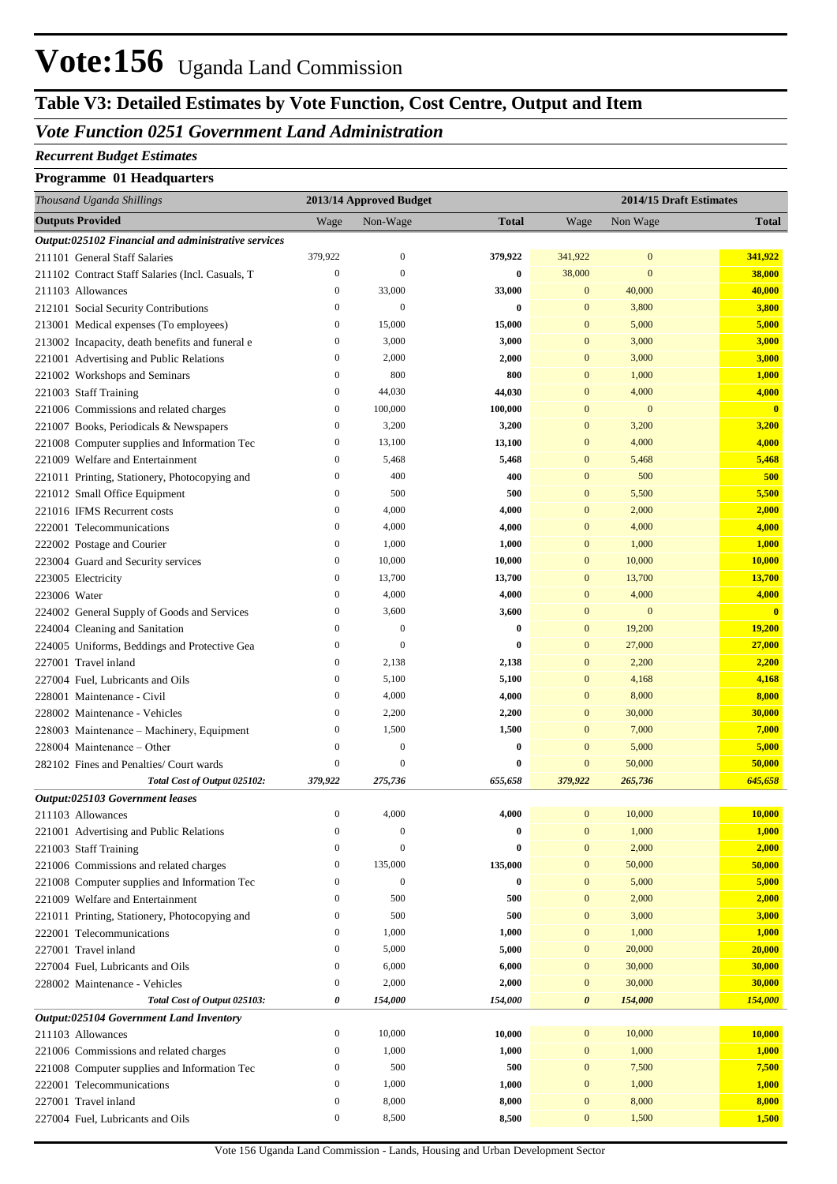## **Table V3: Detailed Estimates by Vote Function, Cost Centre, Output and Item**

## *Vote Function 0251 Government Land Administration*

#### *Recurrent Budget Estimates*

#### **Programme 01 Headquarters**

| Thousand Uganda Shillings                            |                  | 2013/14 Approved Budget |              |                  | 2014/15 Draft Estimates |                         |
|------------------------------------------------------|------------------|-------------------------|--------------|------------------|-------------------------|-------------------------|
| <b>Outputs Provided</b>                              | Wage             | Non-Wage                | <b>Total</b> | Wage             | Non Wage                | <b>Total</b>            |
| Output:025102 Financial and administrative services  |                  |                         |              |                  |                         |                         |
| 211101 General Staff Salaries                        | 379,922          | $\mathbf{0}$            | 379,922      | 341,922          | $\bf{0}$                | 341,922                 |
| 211102 Contract Staff Salaries (Incl. Casuals, T     | $\boldsymbol{0}$ | $\mathbf{0}$            | $\bf{0}$     | 38,000           | $\mathbf{0}$            | 38,000                  |
| 211103 Allowances                                    | $\mathbf{0}$     | 33,000                  | 33,000       | $\mathbf{0}$     | 40,000                  | 40,000                  |
| 212101 Social Security Contributions                 | $\mathbf{0}$     | $\mathbf{0}$            | $\bf{0}$     | $\mathbf{0}$     | 3,800                   | 3,800                   |
| 213001 Medical expenses (To employees)               | $\boldsymbol{0}$ | 15,000                  | 15,000       | $\mathbf{0}$     | 5,000                   | 5,000                   |
| 213002 Incapacity, death benefits and funeral e      | $\boldsymbol{0}$ | 3,000                   | 3,000        | $\mathbf{0}$     | 3,000                   | 3,000                   |
| 221001 Advertising and Public Relations              | $\boldsymbol{0}$ | 2,000                   | 2,000        | $\mathbf{0}$     | 3,000                   | 3,000                   |
| 221002 Workshops and Seminars                        | $\mathbf{0}$     | 800                     | 800          | $\mathbf{0}$     | 1,000                   | 1,000                   |
| 221003 Staff Training                                | $\boldsymbol{0}$ | 44,030                  | 44,030       | $\mathbf{0}$     | 4,000                   | 4,000                   |
| 221006 Commissions and related charges               | $\boldsymbol{0}$ | 100,000                 | 100,000      | $\mathbf{0}$     | $\boldsymbol{0}$        | $\mathbf{0}$            |
| 221007 Books, Periodicals & Newspapers               | $\boldsymbol{0}$ | 3,200                   | 3,200        | $\mathbf{0}$     | 3,200                   | 3,200                   |
| 221008 Computer supplies and Information Tec         | $\boldsymbol{0}$ | 13,100                  | 13,100       | $\mathbf{0}$     | 4,000                   | 4,000                   |
| 221009 Welfare and Entertainment                     | $\boldsymbol{0}$ | 5,468                   | 5,468        | $\mathbf{0}$     | 5,468                   | 5,468                   |
| 221011 Printing, Stationery, Photocopying and        | $\boldsymbol{0}$ | 400                     | 400          | $\mathbf{0}$     | 500                     | 500                     |
| 221012 Small Office Equipment                        | $\boldsymbol{0}$ | 500                     | 500          | $\mathbf{0}$     | 5,500                   | 5,500                   |
| 221016 IFMS Recurrent costs                          | $\boldsymbol{0}$ | 4,000                   | 4,000        | $\mathbf{0}$     | 2,000                   | 2,000                   |
| 222001 Telecommunications                            | $\boldsymbol{0}$ | 4,000                   | 4,000        | $\mathbf{0}$     | 4,000                   | 4,000                   |
| 222002 Postage and Courier                           | $\boldsymbol{0}$ | 1,000                   | 1,000        | $\mathbf{0}$     | 1,000                   | 1,000                   |
| 223004 Guard and Security services                   | $\boldsymbol{0}$ | 10,000                  | 10,000       | $\mathbf{0}$     | 10,000                  | 10,000                  |
| 223005 Electricity                                   | $\boldsymbol{0}$ | 13,700                  | 13,700       | $\mathbf{0}$     | 13,700                  | 13,700                  |
| 223006 Water                                         | $\boldsymbol{0}$ | 4,000                   | 4,000        | $\mathbf{0}$     | 4,000                   | 4,000                   |
| 224002 General Supply of Goods and Services          | $\boldsymbol{0}$ | 3,600                   | 3,600        | $\mathbf{0}$     | $\boldsymbol{0}$        | $\overline{\mathbf{0}}$ |
| 224004 Cleaning and Sanitation                       | $\boldsymbol{0}$ | $\mathbf{0}$            | $\bf{0}$     | $\mathbf{0}$     | 19,200                  | 19,200                  |
| 224005 Uniforms, Beddings and Protective Gea         | $\mathbf{0}$     | $\overline{0}$          | $\bf{0}$     | $\mathbf{0}$     | 27,000                  | 27,000                  |
| 227001 Travel inland                                 | $\boldsymbol{0}$ | 2,138                   | 2,138        | $\mathbf{0}$     | 2,200                   | 2,200                   |
| 227004 Fuel, Lubricants and Oils                     | $\boldsymbol{0}$ | 5,100                   | 5,100        | $\mathbf{0}$     | 4,168                   | 4,168                   |
| 228001 Maintenance - Civil                           | $\boldsymbol{0}$ | 4,000                   | 4,000        | $\mathbf{0}$     | 8,000                   | 8,000                   |
| 228002 Maintenance - Vehicles                        | $\boldsymbol{0}$ | 2,200                   | 2,200        | $\mathbf{0}$     | 30,000                  | 30,000                  |
| 228003 Maintenance - Machinery, Equipment            | $\boldsymbol{0}$ | 1,500                   | 1,500        | $\mathbf{0}$     | 7,000                   | 7,000                   |
| 228004 Maintenance – Other                           | $\mathbf{0}$     | $\boldsymbol{0}$        | $\bf{0}$     | $\mathbf{0}$     | 5,000                   | 5,000                   |
| 282102 Fines and Penalties/ Court wards              | $\boldsymbol{0}$ | $\overline{0}$          | $\bf{0}$     | $\mathbf{0}$     | 50,000                  | 50,000                  |
| Total Cost of Output 025102:                         | 379,922          | 275,736                 | 655,658      | 379,922          | 265,736                 | 645,658                 |
| Output:025103 Government leases<br>211103 Allowances | $\boldsymbol{0}$ | 4,000                   | 4,000        | $\mathbf{0}$     | 10,000                  | 10,000                  |
| 221001 Advertising and Public Relations              | $\boldsymbol{0}$ | $\boldsymbol{0}$        | $\bf{0}$     | $\boldsymbol{0}$ | 1,000                   | 1,000                   |
| 221003 Staff Training                                | $\boldsymbol{0}$ | $\overline{0}$          | $\bf{0}$     | $\boldsymbol{0}$ | 2,000                   | 2,000                   |
| 221006 Commissions and related charges               | $\boldsymbol{0}$ | 135,000                 | 135,000      | $\boldsymbol{0}$ | 50,000                  | 50,000                  |
| 221008 Computer supplies and Information Tec         | $\boldsymbol{0}$ | $\boldsymbol{0}$        | $\bf{0}$     | $\boldsymbol{0}$ | 5,000                   | 5,000                   |
| 221009 Welfare and Entertainment                     | $\boldsymbol{0}$ | 500                     | 500          | $\boldsymbol{0}$ | 2,000                   | 2,000                   |
| 221011 Printing, Stationery, Photocopying and        | $\boldsymbol{0}$ | 500                     | 500          | $\boldsymbol{0}$ | 3,000                   | 3,000                   |
| 222001 Telecommunications                            | $\boldsymbol{0}$ | 1,000                   | 1,000        | $\boldsymbol{0}$ | 1,000                   | 1,000                   |
| 227001 Travel inland                                 | $\boldsymbol{0}$ | 5,000                   | 5,000        | $\boldsymbol{0}$ | 20,000                  | 20,000                  |
| 227004 Fuel, Lubricants and Oils                     | $\boldsymbol{0}$ | 6,000                   | 6,000        | $\boldsymbol{0}$ | 30,000                  | 30,000                  |
| 228002 Maintenance - Vehicles                        | $\boldsymbol{0}$ | 2,000                   | 2,000        | $\boldsymbol{0}$ | 30,000                  | 30,000                  |
| Total Cost of Output 025103:                         | 0                | 154,000                 | 154,000      | $\pmb{\theta}$   | 154,000                 | 154,000                 |
| Output:025104 Government Land Inventory              |                  |                         |              |                  |                         |                         |
| 211103 Allowances                                    | $\boldsymbol{0}$ | 10,000                  | 10,000       | $\boldsymbol{0}$ | 10,000                  | 10,000                  |
| 221006 Commissions and related charges               | $\boldsymbol{0}$ | 1,000                   | 1,000        | $\boldsymbol{0}$ | 1,000                   | 1,000                   |
| 221008 Computer supplies and Information Tec         | $\boldsymbol{0}$ | 500                     | 500          | $\boldsymbol{0}$ | 7,500                   | 7,500                   |
| 222001 Telecommunications                            | $\boldsymbol{0}$ | 1,000                   | 1,000        | $\boldsymbol{0}$ | 1,000                   | 1,000                   |
| 227001 Travel inland                                 | $\boldsymbol{0}$ | 8,000                   | 8,000        | $\boldsymbol{0}$ | 8,000                   | 8,000                   |
| 227004 Fuel, Lubricants and Oils                     | $\boldsymbol{0}$ | 8,500                   | 8,500        | $\boldsymbol{0}$ | 1,500                   | 1,500                   |
|                                                      |                  |                         |              |                  |                         |                         |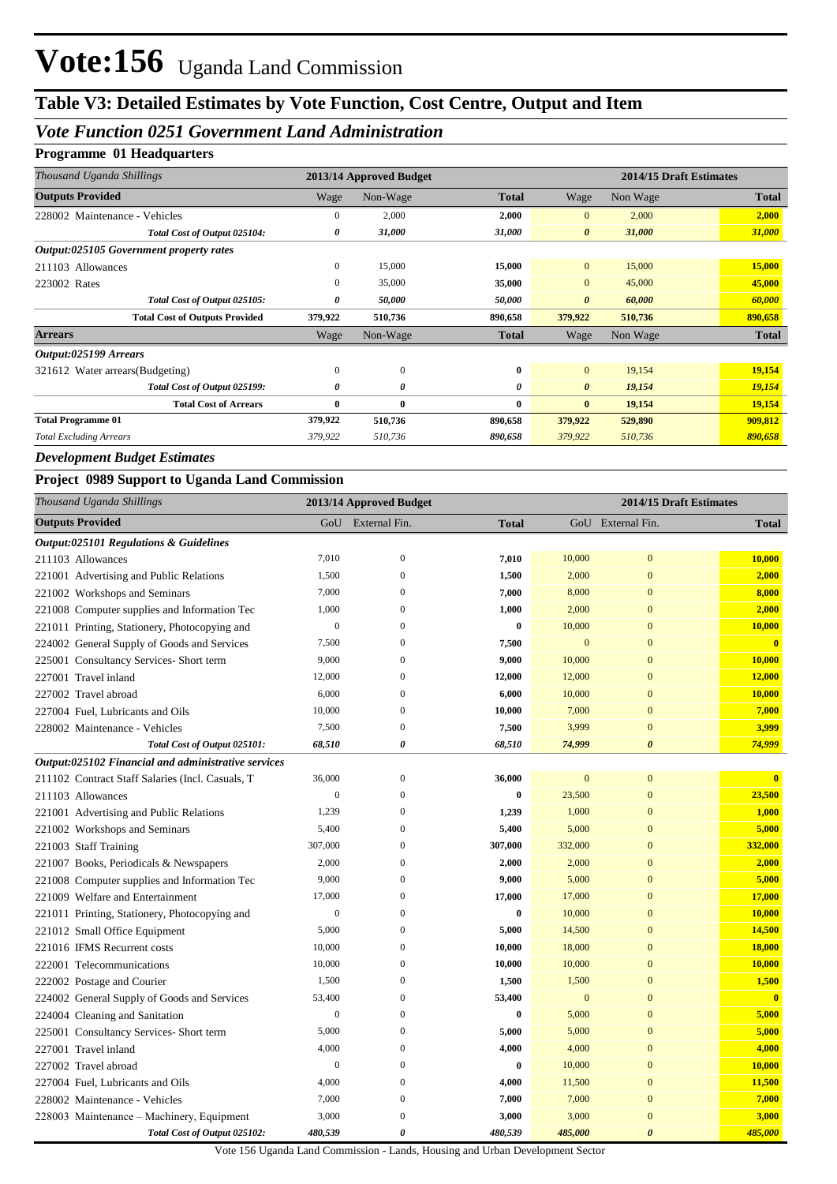## **Table V3: Detailed Estimates by Vote Function, Cost Centre, Output and Item**

## *Vote Function 0251 Government Land Administration*

## **Programme 01 Headquarters**

| Thousand Uganda Shillings               | 2013/14 Approved Budget |              |              |                       | 2014/15 Draft Estimates |              |  |
|-----------------------------------------|-------------------------|--------------|--------------|-----------------------|-------------------------|--------------|--|
| <b>Outputs Provided</b>                 | Wage                    | Non-Wage     | <b>Total</b> | Wage                  | Non Wage                | <b>Total</b> |  |
| 228002 Maintenance - Vehicles           | $\mathbf{0}$            | 2,000        | 2,000        | $\mathbf{0}$          | 2,000                   | 2,000        |  |
| Total Cost of Output 025104:            | 0                       | 31,000       | 31,000       | $\boldsymbol{\theta}$ | 31,000                  | 31,000       |  |
| Output:025105 Government property rates |                         |              |              |                       |                         |              |  |
| 211103 Allowances                       | $\mathbf{0}$            | 15,000       | 15,000       | $\mathbf{0}$          | 15,000                  | 15,000       |  |
| 223002 Rates                            | $\mathbf{0}$            | 35,000       | 35,000       | $\mathbf{0}$          | 45,000                  | 45,000       |  |
| Total Cost of Output 025105:            | 0                       | 50,000       | 50,000       | $\boldsymbol{\theta}$ | 60,000                  | 60,000       |  |
| <b>Total Cost of Outputs Provided</b>   | 379,922                 | 510,736      | 890,658      | 379,922               | 510,736                 | 890,658      |  |
| <b>Arrears</b>                          | Wage                    | Non-Wage     | <b>Total</b> | Wage                  | Non Wage                | <b>Total</b> |  |
| Output:025199 Arrears                   |                         |              |              |                       |                         |              |  |
| 321612 Water arrears (Budgeting)        | $\mathbf{0}$            | $\mathbf{0}$ | $\bf{0}$     | $\mathbf{0}$          | 19,154                  | 19,154       |  |
| Total Cost of Output 025199:            | 0                       | 0            | 0            | $\boldsymbol{\theta}$ | 19,154                  | 19,154       |  |
| <b>Total Cost of Arrears</b>            | $\bf{0}$                | $\bf{0}$     | $\bf{0}$     | $\bf{0}$              | 19,154                  | 19,154       |  |
| <b>Total Programme 01</b>               | 379,922                 | 510,736      | 890,658      | 379,922               | 529,890                 | 909,812      |  |
| <b>Total Excluding Arrears</b>          | 379,922                 | 510,736      | 890,658      | 379,922               | 510,736                 | 890,658      |  |

#### *Development Budget Estimates*

#### **Project 0989 Support to Uganda Land Commission**

| Thousand Uganda Shillings                           |                  | 2013/14 Approved Budget |              | 2014/15 Draft Estimates |                       |                         |
|-----------------------------------------------------|------------------|-------------------------|--------------|-------------------------|-----------------------|-------------------------|
| <b>Outputs Provided</b>                             |                  | GoU External Fin.       | <b>Total</b> |                         | GoU External Fin.     | <b>Total</b>            |
| Output:025101 Regulations & Guidelines              |                  |                         |              |                         |                       |                         |
| 211103 Allowances                                   | 7,010            | $\mathbf{0}$            | 7,010        | 10,000                  | $\mathbf{0}$          | 10,000                  |
| 221001 Advertising and Public Relations             | 1,500            | $\boldsymbol{0}$        | 1,500        | 2,000                   | $\mathbf{0}$          | 2,000                   |
| 221002 Workshops and Seminars                       | 7,000            | $\mathbf{0}$            | 7,000        | 8,000                   | $\mathbf{0}$          | 8,000                   |
| 221008 Computer supplies and Information Tec        | 1,000            | $\mathbf{0}$            | 1,000        | 2,000                   | $\boldsymbol{0}$      | 2,000                   |
| 221011 Printing, Stationery, Photocopying and       | $\boldsymbol{0}$ | $\overline{0}$          | $\bf{0}$     | 10,000                  | $\overline{0}$        | 10,000                  |
| 224002 General Supply of Goods and Services         | 7,500            | $\theta$                | 7,500        | $\mathbf{0}$            | $\mathbf{0}$          | $\overline{\mathbf{0}}$ |
| 225001 Consultancy Services- Short term             | 9,000            | $\theta$                | 9,000        | 10,000                  | $\overline{0}$        | 10,000                  |
| 227001 Travel inland                                | 12,000           | $\mathbf{0}$            | 12,000       | 12,000                  | $\mathbf{0}$          | 12,000                  |
| 227002 Travel abroad                                | 6,000            | $\theta$                | 6,000        | 10,000                  | $\mathbf{0}$          | 10,000                  |
| 227004 Fuel, Lubricants and Oils                    | 10,000           | $\mathbf{0}$            | 10,000       | 7,000                   | $\mathbf{0}$          | 7,000                   |
| 228002 Maintenance - Vehicles                       | 7,500            | $\theta$                | 7,500        | 3,999                   | $\mathbf{0}$          | 3,999                   |
| Total Cost of Output 025101:                        | 68,510           | 0                       | 68,510       | 74,999                  | $\boldsymbol{\theta}$ | 74,999                  |
| Output:025102 Financial and administrative services |                  |                         |              |                         |                       |                         |
| 211102 Contract Staff Salaries (Incl. Casuals, T    | 36,000           | $\mathbf{0}$            | 36,000       | $\boldsymbol{0}$        | $\mathbf{0}$          | $\mathbf{0}$            |
| 211103 Allowances                                   | $\boldsymbol{0}$ | $\boldsymbol{0}$        | $\bf{0}$     | 23,500                  | $\mathbf{0}$          | 23,500                  |
| 221001 Advertising and Public Relations             | 1,239            | $\mathbf{0}$            | 1,239        | 1,000                   | $\boldsymbol{0}$      | 1,000                   |
| 221002 Workshops and Seminars                       | 5,400            | $\mathbf{0}$            | 5,400        | 5,000                   | $\boldsymbol{0}$      | 5,000                   |
| 221003 Staff Training                               | 307,000          | $\overline{0}$          | 307,000      | 332,000                 | $\overline{0}$        | 332,000                 |
| 221007 Books, Periodicals & Newspapers              | 2,000            | $\overline{0}$          | 2,000        | 2,000                   | $\overline{0}$        | 2,000                   |
| 221008 Computer supplies and Information Tec        | 9,000            | $\theta$                | 9,000        | 5,000                   | $\mathbf{0}$          | 5,000                   |
| 221009 Welfare and Entertainment                    | 17,000           | $\mathbf{0}$            | 17,000       | 17,000                  | $\overline{0}$        | 17,000                  |
| 221011 Printing, Stationery, Photocopying and       | $\boldsymbol{0}$ | $\overline{0}$          | $\bf{0}$     | 10,000                  | $\overline{0}$        | 10,000                  |
| 221012 Small Office Equipment                       | 5,000            | $\mathbf{0}$            | 5,000        | 14,500                  | $\overline{0}$        | 14,500                  |
| 221016 IFMS Recurrent costs                         | 10,000           | $\theta$                | 10,000       | 18,000                  | $\overline{0}$        | 18,000                  |
| 222001 Telecommunications                           | 10,000           | $\mathbf{0}$            | 10,000       | 10,000                  | $\mathbf{0}$          | 10,000                  |
| 222002 Postage and Courier                          | 1,500            | $\mathbf{0}$            | 1,500        | 1,500                   | $\mathbf{0}$          | 1,500                   |
| 224002 General Supply of Goods and Services         | 53,400           | $\boldsymbol{0}$        | 53,400       | $\mathbf{0}$            | $\mathbf{0}$          | $\overline{\mathbf{0}}$ |
| 224004 Cleaning and Sanitation                      | $\mathbf{0}$     | $\overline{0}$          | $\bf{0}$     | 5,000                   | $\mathbf{0}$          | 5,000                   |
| 225001 Consultancy Services- Short term             | 5,000            | $\mathbf{0}$            | 5,000        | 5,000                   | $\mathbf{0}$          | 5,000                   |
| 227001 Travel inland                                | 4,000            | $\mathbf{0}$            | 4,000        | 4,000                   | $\mathbf{0}$          | 4,000                   |
| 227002 Travel abroad                                | $\boldsymbol{0}$ | $\mathbf{0}$            | $\bf{0}$     | 10,000                  | $\mathbf{0}$          | 10,000                  |
| 227004 Fuel, Lubricants and Oils                    | 4,000            | $\overline{0}$          | 4,000        | 11,500                  | $\overline{0}$        | 11,500                  |
| 228002 Maintenance - Vehicles                       | 7,000            | $\theta$                | 7,000        | 7,000                   | $\mathbf{0}$          | 7,000                   |
| 228003 Maintenance – Machinery, Equipment           | 3,000            | $\mathbf{0}$            | 3,000        | 3,000                   | $\mathbf{0}$          | 3,000                   |
| Total Cost of Output 025102:                        | 480,539          | $\boldsymbol{\theta}$   | 480,539      | 485,000                 | $\boldsymbol{\theta}$ | 485,000                 |

Vote 156 Uganda Land Commission - Lands, Housing and Urban Development Sector